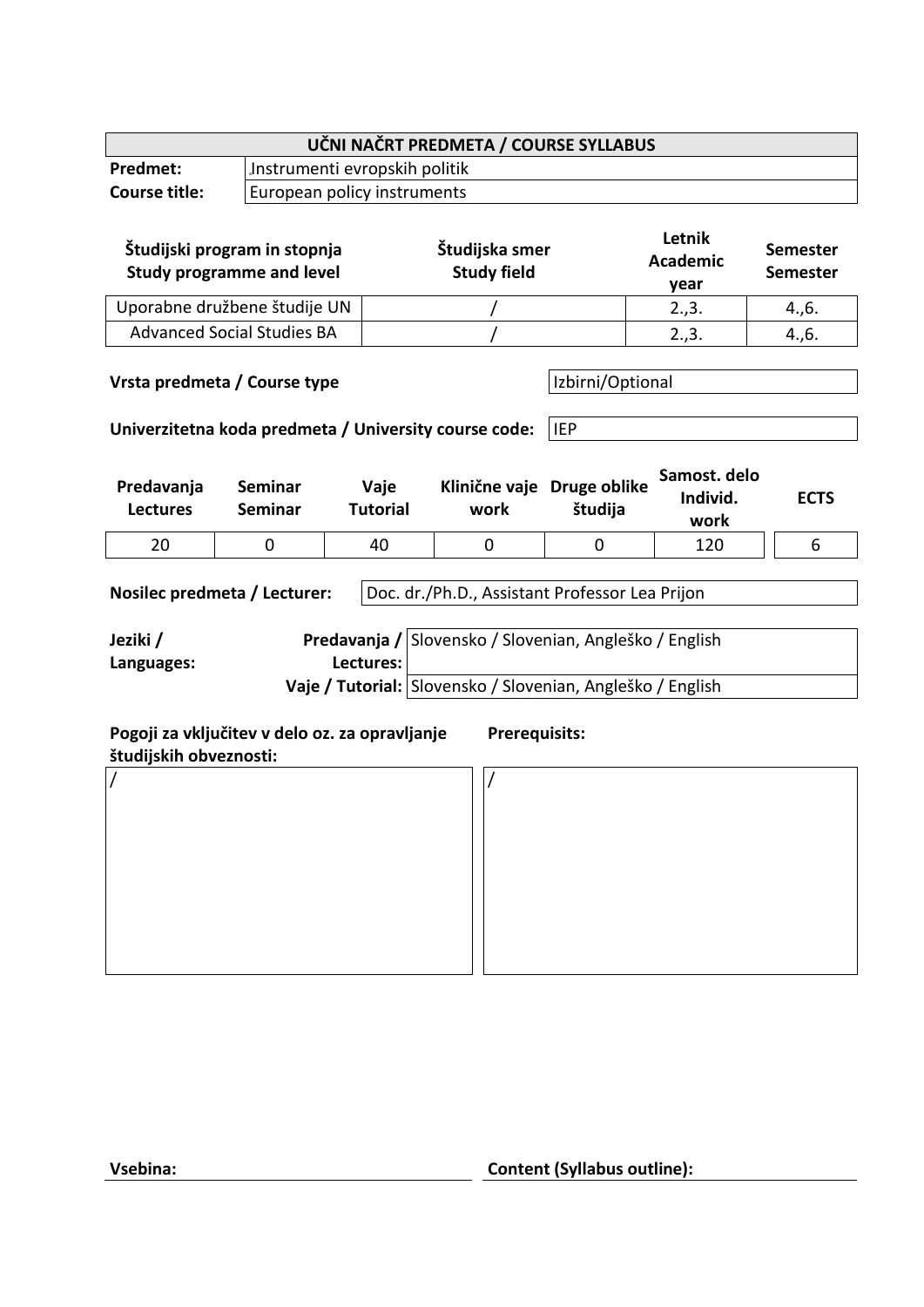| UČNI NAČRT PREDMETA / COURSE SYLLABUS                                                                                                                                                                                                         |                                                                  |                               |                                      |                         |                                   |                                    |  |
|-----------------------------------------------------------------------------------------------------------------------------------------------------------------------------------------------------------------------------------------------|------------------------------------------------------------------|-------------------------------|--------------------------------------|-------------------------|-----------------------------------|------------------------------------|--|
| Predmet:                                                                                                                                                                                                                                      |                                                                  | Instrumenti evropskih politik |                                      |                         |                                   |                                    |  |
| <b>Course title:</b>                                                                                                                                                                                                                          |                                                                  | European policy instruments   |                                      |                         |                                   |                                    |  |
|                                                                                                                                                                                                                                               | Študijski program in stopnja<br><b>Study programme and level</b> |                               | Študijska smer<br><b>Study field</b> |                         | Letnik<br><b>Academic</b><br>year | <b>Semester</b><br><b>Semester</b> |  |
| Uporabne družbene študije UN                                                                                                                                                                                                                  |                                                                  |                               |                                      |                         | 2.,3.                             | 4., 6.                             |  |
| <b>Advanced Social Studies BA</b>                                                                                                                                                                                                             |                                                                  |                               |                                      |                         | 2.,3.                             | 4., 6.                             |  |
| Izbirni/Optional<br>Vrsta predmeta / Course type<br>Univerzitetna koda predmeta / University course code:<br><b>IEP</b>                                                                                                                       |                                                                  |                               |                                      |                         |                                   |                                    |  |
| Predavanja<br><b>Lectures</b>                                                                                                                                                                                                                 | <b>Seminar</b><br><b>Seminar</b>                                 | Vaje<br><b>Tutorial</b>       | Klinične vaje<br>work                | Druge oblike<br>študija | Samost. delo<br>Individ.<br>work  | <b>ECTS</b>                        |  |
| 20                                                                                                                                                                                                                                            | 0                                                                | 40                            | 0                                    | 0                       | 120                               | 6                                  |  |
| Doc. dr./Ph.D., Assistant Professor Lea Prijon<br>Nosilec predmeta / Lecturer:<br>Predavanja / Slovensko / Slovenian, Angleško / English<br>Jeziki /<br>Lectures:<br>Languages:<br>Vaje / Tutorial: Slovensko / Slovenian, Angleško / English |                                                                  |                               |                                      |                         |                                   |                                    |  |
| Pogoji za vključitev v delo oz. za opravljanje<br><b>Prerequisits:</b><br>študijskih obveznosti:                                                                                                                                              |                                                                  |                               |                                      |                         |                                   |                                    |  |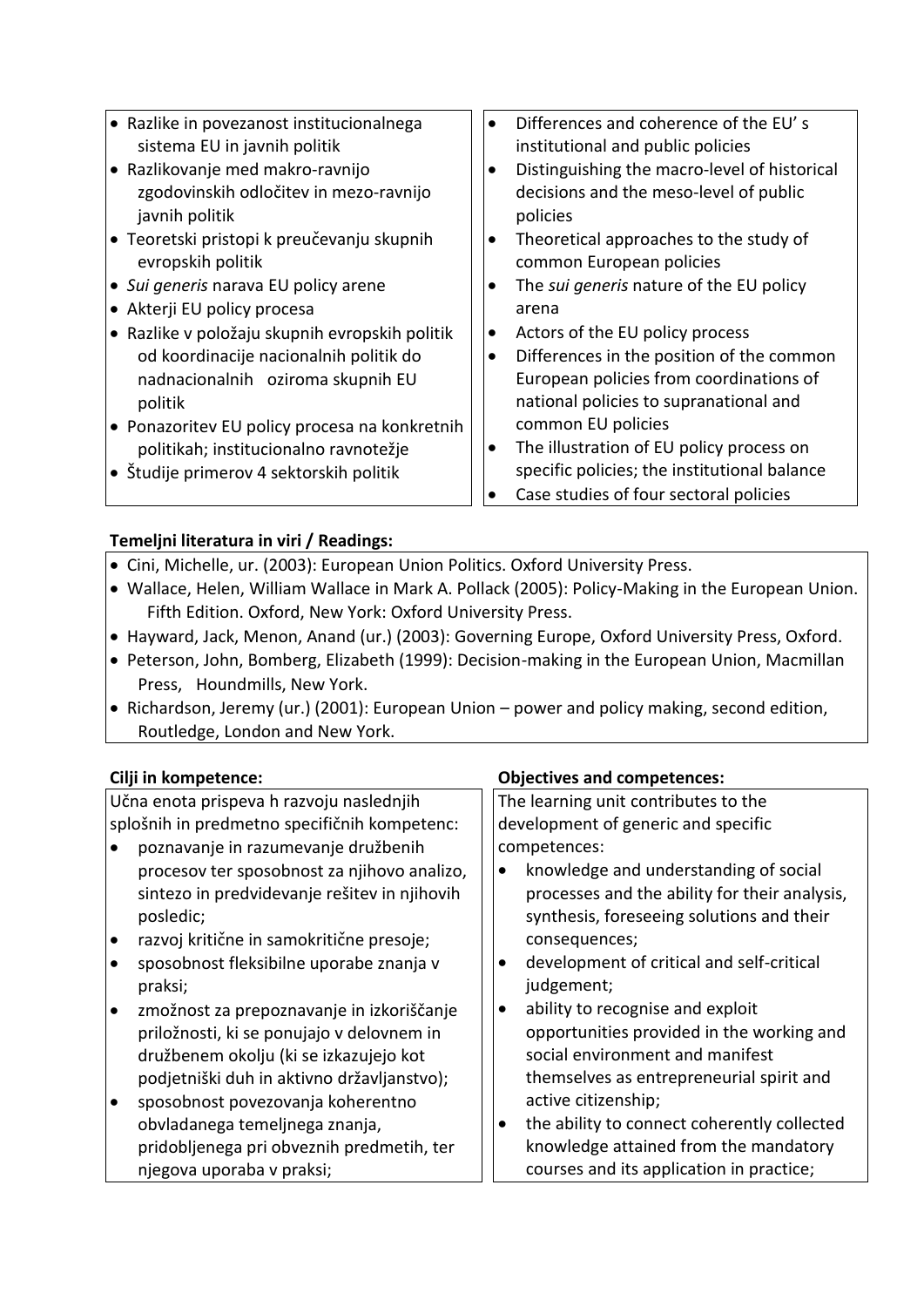Razlike in povezanost institucionalnega sistema EU in javnih politik Razlikovanje med makro-ravnijo zgodovinskih odločitev in mezo-ravnijo javnih politik • Teoretski pristopi k preučevanju skupnih evropskih politik *Sui generis* narava EU policy arene Akterji EU policy procesa Razlike v položaju skupnih evropskih politik od koordinacije nacionalnih politik do nadnacionalnih oziroma skupnih EU politik Ponazoritev EU policy procesa na konkretnih politikah; institucionalno ravnotežje Študije primerov 4 sektorskih politik Differences and coherence of the EU' s institutional and public policies Distinguishing the macro-level of historical decisions and the meso-level of public policies • Theoretical approaches to the study of common European policies The *sui generis* nature of the EU policy arena Actors of the EU policy process Differences in the position of the common European policies from coordinations of national policies to supranational and common EU policies • The illustration of EU policy process on specific policies; the institutional balance Case studies of four sectoral policies

### **Temeljni literatura in viri / Readings:** Cini, Michelle, ur. (2003): European Union Politics. Oxford University Press.

- Wallace, Helen, William Wallace in Mark A. Pollack (2005): Policy-Making in the European Union. Fifth Edition. Oxford, New York: Oxford University Press.
- Hayward, Jack, Menon, Anand (ur.) (2003): Governing Europe, Oxford University Press, Oxford.
- Peterson, John, Bomberg, Elizabeth (1999): Decision-making in the European Union, Macmillan Press, Houndmills, New York.
- Richardson, Jeremy (ur.) (2001): European Union power and policy making, second edition, Routledge, London and New York.

Učna enota prispeva h razvoju naslednjih splošnih in predmetno specifičnih kompetenc:

- poznavanje in razumevanje družbenih procesov ter sposobnost za njihovo analizo, sintezo in predvidevanje rešitev in njihovih posledic;
- razvoj kritične in samokritične presoje;
- sposobnost fleksibilne uporabe znanja v praksi;
- zmožnost za prepoznavanje in izkoriščanje priložnosti, ki se ponujajo v delovnem in družbenem okolju (ki se izkazujejo kot podjetniški duh in aktivno državljanstvo);
- sposobnost povezovanja koherentno obvladanega temeljnega znanja, pridobljenega pri obveznih predmetih, ter njegova uporaba v praksi;

# **Cilji in kompetence: Objectives and competences:**

The learning unit contributes to the development of generic and specific competences:

- knowledge and understanding of social processes and the ability for their analysis, synthesis, foreseeing solutions and their consequences;
- development of critical and self-critical judgement;
- ability to recognise and exploit opportunities provided in the working and social environment and manifest themselves as entrepreneurial spirit and active citizenship;
- the ability to connect coherently collected knowledge attained from the mandatory courses and its application in practice;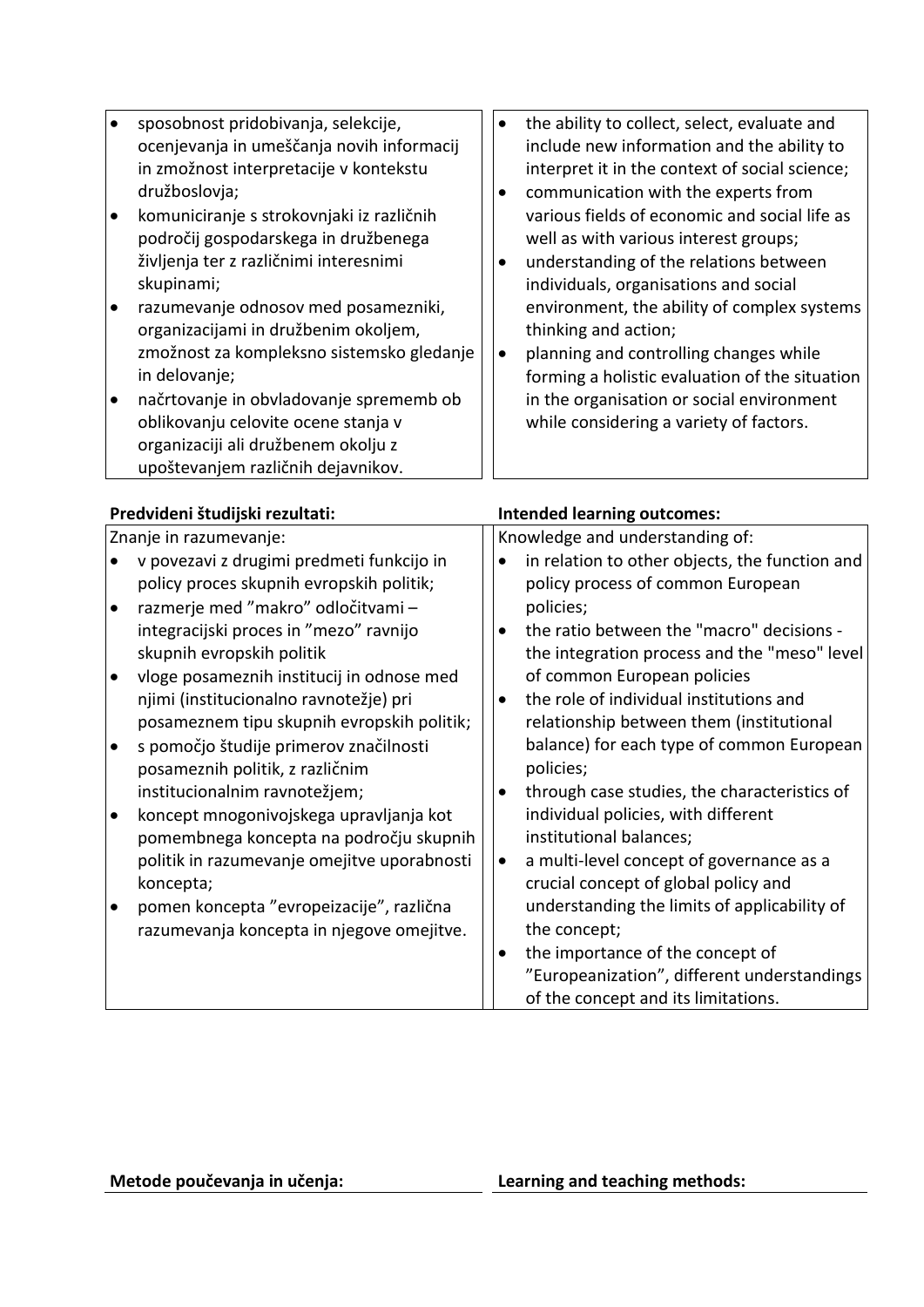| sposobnost pridobivanja, selekcije,       | $\bullet$ | the ability to collect, select, evaluate and   |
|-------------------------------------------|-----------|------------------------------------------------|
| ocenjevanja in umeščanja novih informacij |           | include new information and the ability to     |
| in zmožnost interpretacije v kontekstu    |           | interpret it in the context of social science; |
| družboslovja;                             |           | communication with the experts from            |
| komuniciranje s strokovnjaki iz različnih |           | various fields of economic and social life as  |
| področij gospodarskega in družbenega      |           | well as with various interest groups;          |
| življenja ter z različnimi interesnimi    |           | understanding of the relations between         |
| skupinami;                                |           | individuals, organisations and social          |
| razumevanje odnosov med posamezniki,      |           | environment, the ability of complex systems    |
| organizacijami in družbenim okoljem,      |           | thinking and action;                           |
| zmožnost za kompleksno sistemsko gledanje | $\bullet$ | planning and controlling changes while         |
| in delovanje;                             |           | forming a holistic evaluation of the situation |
| načrtovanje in obvladovanje sprememb ob   |           | in the organisation or social environment      |
| oblikovanju celovite ocene stanja v       |           | while considering a variety of factors.        |
| organizaciji ali družbenem okolju z       |           |                                                |
| upoštevanjem različnih dejavnikov.        |           |                                                |

## **Predvideni študijski rezultati: Intended learning outcomes:**

| Znanje in razumevanje:                      | Knowledge and understanding of:                |  |  |
|---------------------------------------------|------------------------------------------------|--|--|
| v povezavi z drugimi predmeti funkcijo in   | in relation to other objects, the function and |  |  |
| policy proces skupnih evropskih politik;    | policy process of common European              |  |  |
| razmerje med "makro" odločitvami -          | policies;                                      |  |  |
| integracijski proces in "mezo" ravnijo      | the ratio between the "macro" decisions -      |  |  |
| skupnih evropskih politik                   | the integration process and the "meso" level   |  |  |
| vloge posameznih institucij in odnose med   | of common European policies                    |  |  |
| njimi (institucionalno ravnotežje) pri      | the role of individual institutions and        |  |  |
| posameznem tipu skupnih evropskih politik;  | relationship between them (institutional       |  |  |
| s pomočjo študije primerov značilnosti      | balance) for each type of common European      |  |  |
| posameznih politik, z različnim             | policies;                                      |  |  |
| institucionalnim ravnotežjem;               | through case studies, the characteristics of   |  |  |
| koncept mnogonivojskega upravljanja kot     | individual policies, with different            |  |  |
| pomembnega koncepta na področju skupnih     | institutional balances;                        |  |  |
| politik in razumevanje omejitve uporabnosti | a multi-level concept of governance as a       |  |  |
| koncepta;                                   | crucial concept of global policy and           |  |  |
| pomen koncepta "evropeizacije", različna    | understanding the limits of applicability of   |  |  |
| razumevanja koncepta in njegove omejitve.   | the concept;                                   |  |  |
|                                             | the importance of the concept of<br>$\bullet$  |  |  |
|                                             | "Europeanization", different understandings    |  |  |
|                                             | of the concept and its limitations.            |  |  |